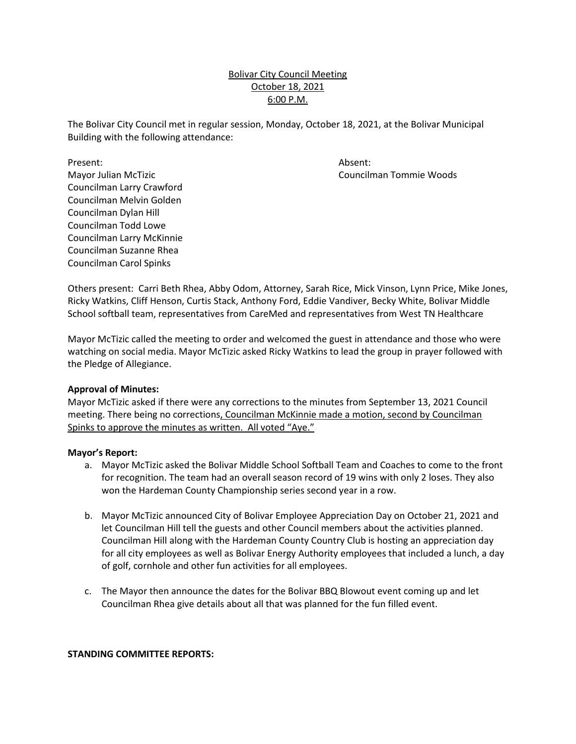# October 18, 2021 Bolivar City Council Meeting 6:00 P.M.

 The Bolivar City Council met in regular session, Monday, October 18, 2021, at the Bolivar Municipal Building with the following attendance:

Councilman Tommie Woods

Present: Mayor Julian McTizic Councilman Melvin Golden<br>Councilman Dylan Hill Present: Absent: Absent: Absent: Absent: Absent: Absent: Absent: Absent: Absent: Absent: Absent: Absent:  $\overline{A}$ Councilman Larry Crawford Councilman Todd Lowe Councilman Larry McKinnie Councilman Suzanne Rhea Councilman Carol Spinks

Others present: Carri Beth Rhea, Abby Odom, Attorney, Sarah Rice, Mick Vinson, Lynn Price, Mike Jones, Ricky Watkins, Cliff Henson, Curtis Stack, Anthony Ford, Eddie Vandiver, Becky White, Bolivar Middle School softball team, representatives from CareMed and representatives from West TN Healthcare

 Mayor McTizic called the meeting to order and welcomed the guest in attendance and those who were watching on social media. Mayor McTizic asked Ricky Watkins to lead the group in prayer followed with the Pledge of Allegiance.

# **Approval of Minutes:**

Spinks to approve the minutes as written. All voted "Aye." Mayor McTizic asked if there were any corrections to the minutes from September 13, 2021 Council meeting. There being no corrections, Councilman McKinnie made a motion, second by Councilman

#### **Mayor's Report:**

- for recognition. The team had an overall season record of 19 wins with only 2 loses. They also a. Mayor McTizic asked the Bolivar Middle School Softball Team and Coaches to come to the front won the Hardeman County Championship series second year in a row.
- let Councilman Hill tell the guests and other Council members about the activities planned. Councilman Hill along with the Hardeman County Country Club is hosting an appreciation day b. Mayor McTizic announced City of Bolivar Employee Appreciation Day on October 21, 2021 and for all city employees as well as Bolivar Energy Authority employees that included a lunch, a day of golf, cornhole and other fun activities for all employees.
- c. The Mayor then announce the dates for the Bolivar BBQ Blowout event coming up and let Councilman Rhea give details about all that was planned for the fun filled event.

# **STANDING COMMITTEE REPORTS:**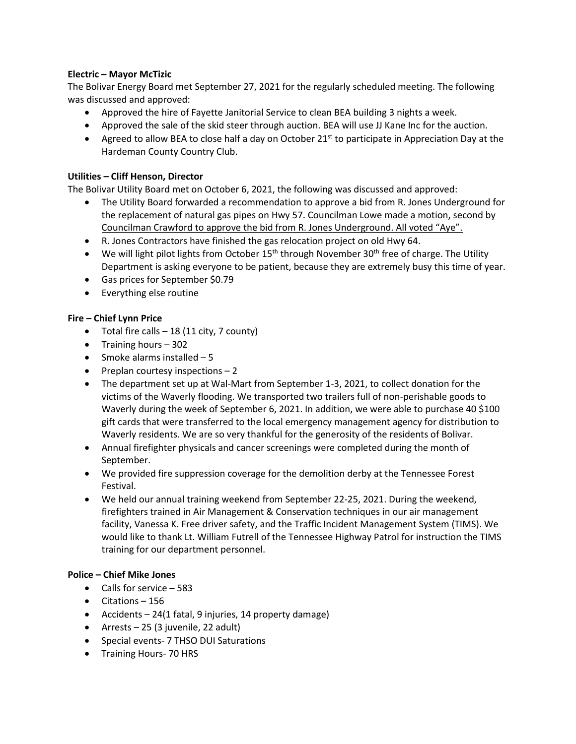# **Electric – Mayor McTizic**

 The Bolivar Energy Board met September 27, 2021 for the regularly scheduled meeting. The following was discussed and approved:

- Approved the hire of Fayette Janitorial Service to clean BEA building 3 nights a week.
- Approved the sale of the skid steer through auction. BEA will use JJ Kane Inc for the auction.
- Hardeman County Country Club. • Agreed to allow BEA to close half a day on October  $21^{st}$  to participate in Appreciation Day at the

# **Utilities – Cliff Henson, Director**

The Bolivar Utility Board met on October 6, 2021, the following was discussed and approved:

- the replacement of natural gas pipes on Hwy 57. Councilman Lowe made a motion, second by • The Utility Board forwarded a recommendation to approve a bid from R. Jones Underground for Councilman Crawford to approve the bid from R. Jones Underground. All voted "Aye".
- R. Jones Contractors have finished the gas relocation project on old Hwy 64.
- We will light pilot lights from October  $15<sup>th</sup>$  through November 30<sup>th</sup> free of charge. The Utility Department is asking everyone to be patient, because they are extremely busy this time of year.
- Gas prices for September \$0.79
- Everything else routine

# **Fire – Chief Lynn Price**

- Total fire calls  $-18$  (11 city, 7 county)
- Training hours 302
- Smoke alarms installed 5
- $\bullet$  Preplan courtesy inspections  $-2$
- Waverly during the week of September 6, 2021. In addition, we were able to purchase 40 \$100 Waverly residents. We are so very thankful for the generosity of the residents of Bolivar. • The department set up at Wal-Mart from September 1-3, 2021, to collect donation for the victims of the Waverly flooding. We transported two trailers full of non-perishable goods to gift cards that were transferred to the local emergency management agency for distribution to
- Annual firefighter physicals and cancer screenings were completed during the month of September.
- We provided fire suppression coverage for the demolition derby at the Tennessee Forest Festival.
- facility, Vanessa K. Free driver safety, and the Traffic Incident Management System (TIMS). We would like to thank Lt. William Futrell of the Tennessee Highway Patrol for instruction the TIMS • We held our annual training weekend from September 22-25, 2021. During the weekend, firefighters trained in Air Management & Conservation techniques in our air management training for our department personnel.

# **Police – Chief Mike Jones**

- Calls for service 583
- Citations 156
- Accidents 24(1 fatal, 9 injuries, 14 property damage)
- Arrests 25 (3 juvenile, 22 adult)
- Special events- 7 THSO DUI Saturations
- Training Hours- 70 HRS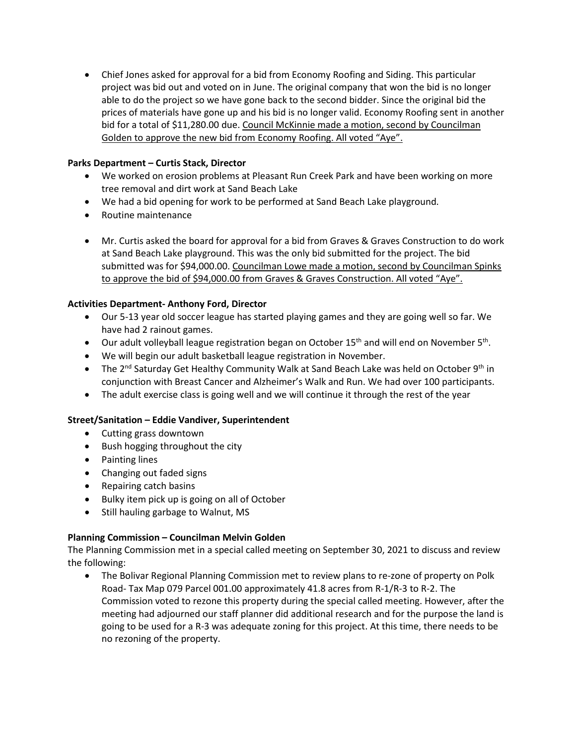project was bid out and voted on in June. The original company that won the bid is no longer able to do the project so we have gone back to the second bidder. Since the original bid the prices of materials have gone up and his bid is no longer valid. Economy Roofing sent in another bid for a total of \$[11,280.00](https://11,280.00) due. Council McKinnie made a motion, second by Councilman Golden to approve the new bid from Economy Roofing. All voted "Aye". • Chief Jones asked for approval for a bid from Economy Roofing and Siding. This particular

# **Parks Department – Curtis Stack, Director**

- • We worked on erosion problems at Pleasant Run Creek Park and have been working on more tree removal and dirt work at Sand Beach Lake
- We had a bid opening for work to be performed at Sand Beach Lake playground.
- Routine maintenance
- • Mr. Curtis asked the board for approval for a bid from Graves & Graves Construction to do work at Sand Beach Lake playground. This was the only bid submitted for the project. The bid submitted was for [\\$94,000.00.](https://94,000.00) Councilman Lowe made a motion, second by Councilman Spinks to approve the bid of \$[94,000.00](https://94,000.00) from Graves & Graves Construction. All voted "Aye".

# **Activities Department- Anthony Ford, Director**

- • Our 5-13 year old soccer league has started playing games and they are going well so far. We have had 2 rainout games.
- Our adult volleyball league registration began on October  $15<sup>th</sup>$  and will end on November  $5<sup>th</sup>$ .
- We will begin our adult basketball league registration in November.
- The 2<sup>nd</sup> Saturday Get Healthy Community Walk at Sand Beach Lake was held on October 9<sup>th</sup> in conjunction with Breast Cancer and Alzheimer's Walk and Run. We had over 100 participants.
- The adult exercise class is going well and we will continue it through the rest of the year

# **Street/Sanitation – Eddie Vandiver, Superintendent**

- Cutting grass downtown
- Bush hogging throughout the city
- Painting lines
- Changing out faded signs
- Repairing catch basins
- Bulky item pick up is going on all of October
- Still hauling garbage to Walnut, MS

# **Planning Commission – Councilman Melvin Golden**

The Planning Commission met in a special called meeting on September 30, 2021 to discuss and review the following:

 • The Bolivar Regional Planning Commission met to review plans to re-zone of property on Polk Road- Tax Map 079 Parcel 001.00 approximately 41.8 acres from R-1/R-3 to R-2. The Commission voted to rezone this property during the special called meeting. However, after the meeting had adjourned our staff planner did additional research and for the purpose the land is going to be used for a R-3 was adequate zoning for this project. At this time, there needs to be no rezoning of the property.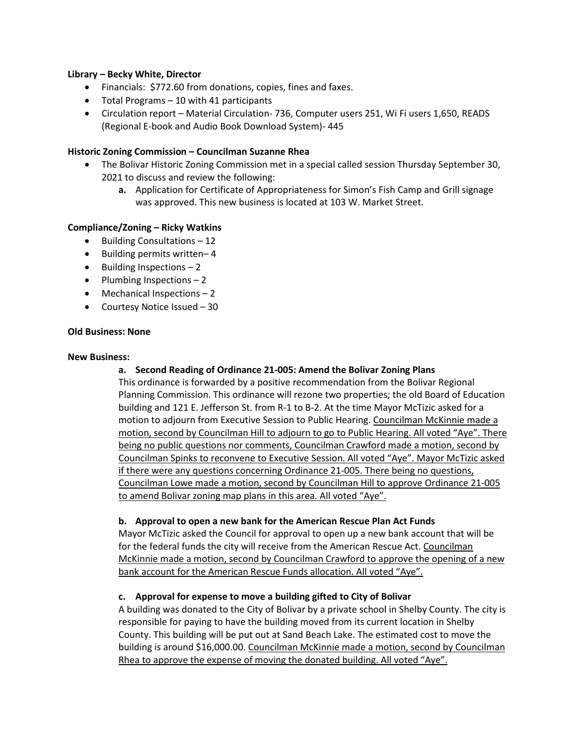### **Library – Becky White, Director**

- Financials: \$772.60 from donations, copies, fines and faxes.
- Total Programs 10 with 41 participants
- (Regional E-book and Audio Book Download System)- 445 • Circulation report – Material Circulation- 736, Computer users 251, Wi Fi users 1,650, READS

### **Historic Zoning Commission – Councilman Suzanne Rhea**

- • The Bolivar Historic Zoning Commission met in a special called session Thursday September 30, 2021 to discuss and review the following:
	- **a.** Application for Certificate of Appropriateness for Simon's Fish Camp and Grill signage was approved. This new business is located at 103 W. Market Street.

# **Compliance/Zoning – Ricky Watkins**

- Building Consultations 12
- Building permits written– 4
- Building Inspections 2
- Plumbing Inspections 2
- Mechanical Inspections 2
- Courtesy Notice Issued 30

### **Old Business: None**

#### **New Business:**

# **a. Second Reading of Ordinance 21-005: Amend the Bolivar Zoning Plans**

motion to adjourn from Executive Session to Public Hearing. Councilman McKinnie made a motion, second by Councilman Hill to adjourn to go to Public Hearing. All voted "Aye". There being no public questions nor comments, Councilman Crawford made a motion, second by Councilman Lowe made a motion, second by Councilman Hill to approve Ordinance 21-005 This ordinance is forwarded by a positive recommendation from the Bolivar Regional Planning Commission. This ordinance will rezone two properties; the old Board of Education building and 121 E. Jefferson St. from R-1 to B-2. At the time Mayor McTizic asked for a Councilman Spinks to reconvene to Executive Session. All voted "Aye". Mayor McTizic asked if there were any questions concerning Ordinance 21-005. There being no questions, to amend Bolivar zoning map plans in this area. All voted "Aye".

#### **b. Approval to open a new bank for the American Rescue Plan Act Funds**

 Mayor McTizic asked the Council for approval to open up a new bank account that will be for the federal funds the city will receive from the American Rescue Act. Councilman McKinnie made a motion, second by Councilman Crawford to approve the opening of a new bank account for the American Rescue Funds allocation. All voted "Aye".

# **c. Approval for expense to move a building gifted to City of Bolivar**

 A building was donated to the City of Bolivar by a private school in Shelby County. The city is building is around [\\$16,000.00.](https://16,000.00) Councilman McKinnie made a motion, second by Councilman responsible for paying to have the building moved from its current location in Shelby County. This building will be put out at Sand Beach Lake. The estimated cost to move the Rhea to approve the expense of moving the donated building. All voted "Aye".